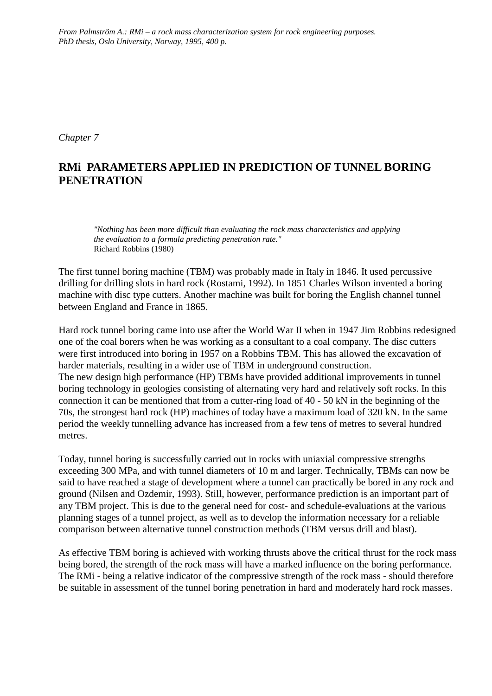*From Palmström A.: RMi – a rock mass characterization system for rock engineering purposes. PhD thesis, Oslo University, Norway, 1995, 400 p.*

*Chapter 7*

# **RMi PARAMETERS APPLIED IN PREDICTION OF TUNNEL BORING PENETRATION**

*"Nothing has been more difficult than evaluating the rock mass characteristics and applying the evaluation to a formula predicting penetration rate."* Richard Robbins (1980)

The first tunnel boring machine (TBM) was probably made in Italy in 1846. It used percussive drilling for drilling slots in hard rock (Rostami, 1992). In 1851 Charles Wilson invented a boring machine with disc type cutters. Another machine was built for boring the English channel tunnel between England and France in 1865.

Hard rock tunnel boring came into use after the World War II when in 1947 Jim Robbins redesigned one of the coal borers when he was working as a consultant to a coal company. The disc cutters were first introduced into boring in 1957 on a Robbins TBM. This has allowed the excavation of harder materials, resulting in a wider use of TBM in underground construction. The new design high performance (HP) TBMs have provided additional improvements in tunnel boring technology in geologies consisting of alternating very hard and relatively soft rocks. In this connection it can be mentioned that from a cutter-ring load of 40 - 50 kN in the beginning of the 70s, the strongest hard rock (HP) machines of today have a maximum load of 320 kN. In the same period the weekly tunnelling advance has increased from a few tens of metres to several hundred metres.

Today, tunnel boring is successfully carried out in rocks with uniaxial compressive strengths exceeding 300 MPa, and with tunnel diameters of 10 m and larger. Technically, TBMs can now be said to have reached a stage of development where a tunnel can practically be bored in any rock and ground (Nilsen and Ozdemir, 1993). Still, however, performance prediction is an important part of any TBM project. This is due to the general need for cost- and schedule-evaluations at the various planning stages of a tunnel project, as well as to develop the information necessary for a reliable comparison between alternative tunnel construction methods (TBM versus drill and blast).

As effective TBM boring is achieved with working thrusts above the critical thrust for the rock mass being bored, the strength of the rock mass will have a marked influence on the boring performance. The RMi - being a relative indicator of the compressive strength of the rock mass - should therefore be suitable in assessment of the tunnel boring penetration in hard and moderately hard rock masses.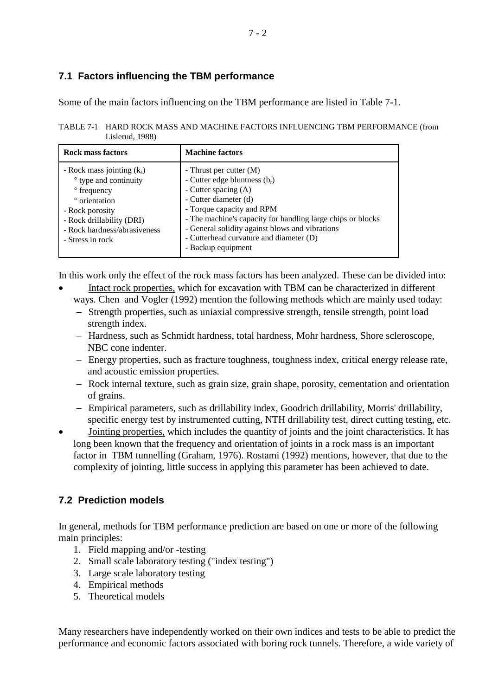# **7.1 Factors influencing the TBM performance**

Some of the main factors influencing on the TBM performance are listed in Table 7-1.

TABLE 7-1 HARD ROCK MASS AND MACHINE FACTORS INFLUENCING TBM PERFORMANCE (from Lislerud, 1988)

| Rock mass factors                                                                                                                                                                         | <b>Machine factors</b>                                                                                                                                                                                                                                                                                                      |
|-------------------------------------------------------------------------------------------------------------------------------------------------------------------------------------------|-----------------------------------------------------------------------------------------------------------------------------------------------------------------------------------------------------------------------------------------------------------------------------------------------------------------------------|
| - Rock mass jointing $(k_s)$<br>• type and continuity<br>° frequency<br>° orientation<br>- Rock porosity<br>- Rock drillability (DRI)<br>- Rock hardness/abrasiveness<br>- Stress in rock | - Thrust per cutter (M)<br>- Cutter edge bluntness $(b_r)$<br>- Cutter spacing (A)<br>- Cutter diameter (d)<br>- Torque capacity and RPM<br>- The machine's capacity for handling large chips or blocks<br>- General solidity against blows and vibrations<br>- Cutterhead curvature and diameter (D)<br>- Backup equipment |

In this work only the effect of the rock mass factors has been analyzed. These can be divided into:

- Intact rock properties, which for excavation with TBM can be characterized in different ways. Chen and Vogler (1992) mention the following methods which are mainly used today:
	- − Strength properties, such as uniaxial compressive strength, tensile strength, point load strength index.
	- − Hardness, such as Schmidt hardness, total hardness, Mohr hardness, Shore scleroscope, NBC cone indenter.
	- − Energy properties, such as fracture toughness, toughness index, critical energy release rate, and acoustic emission properties.
	- − Rock internal texture, such as grain size, grain shape, porosity, cementation and orientation of grains.
	- − Empirical parameters, such as drillability index, Goodrich drillability, Morris' drillability, specific energy test by instrumented cutting, NTH drillability test, direct cutting testing, etc.
- Jointing properties, which includes the quantity of joints and the joint characteristics. It has long been known that the frequency and orientation of joints in a rock mass is an important factor in TBM tunnelling (Graham, 1976). Rostami (1992) mentions, however, that due to the complexity of jointing, little success in applying this parameter has been achieved to date.

# **7.2 Prediction models**

In general, methods for TBM performance prediction are based on one or more of the following main principles:

- 1. Field mapping and/or -testing
- 2. Small scale laboratory testing ("index testing")
- 3. Large scale laboratory testing
- 4. Empirical methods
- 5. Theoretical models

Many researchers have independently worked on their own indices and tests to be able to predict the performance and economic factors associated with boring rock tunnels. Therefore, a wide variety of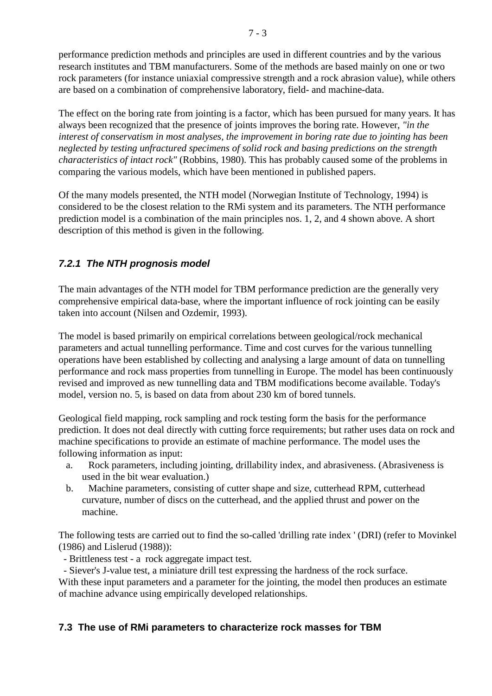performance prediction methods and principles are used in different countries and by the various research institutes and TBM manufacturers. Some of the methods are based mainly on one or two rock parameters (for instance uniaxial compressive strength and a rock abrasion value), while others are based on a combination of comprehensive laboratory, field- and machine-data.

The effect on the boring rate from jointing is a factor, which has been pursued for many years. It has always been recognized that the presence of joints improves the boring rate. However, *"in the interest of conservatism in most analyses, the improvement in boring rate due to jointing has been neglected by testing unfractured specimens of solid rock and basing predictions on the strength characteristics of intact rock"* (Robbins, 1980). This has probably caused some of the problems in comparing the various models, which have been mentioned in published papers.

Of the many models presented, the NTH model (Norwegian Institute of Technology, 1994) is considered to be the closest relation to the RMi system and its parameters. The NTH performance prediction model is a combination of the main principles nos. 1, 2, and 4 shown above. A short description of this method is given in the following.

# *7.2.1 The NTH prognosis model*

The main advantages of the NTH model for TBM performance prediction are the generally very comprehensive empirical data-base, where the important influence of rock jointing can be easily taken into account (Nilsen and Ozdemir, 1993).

The model is based primarily on empirical correlations between geological/rock mechanical parameters and actual tunnelling performance. Time and cost curves for the various tunnelling operations have been established by collecting and analysing a large amount of data on tunnelling performance and rock mass properties from tunnelling in Europe. The model has been continuously revised and improved as new tunnelling data and TBM modifications become available. Today's model, version no. 5, is based on data from about 230 km of bored tunnels.

Geological field mapping, rock sampling and rock testing form the basis for the performance prediction. It does not deal directly with cutting force requirements; but rather uses data on rock and machine specifications to provide an estimate of machine performance. The model uses the following information as input:

- a. Rock parameters, including jointing, drillability index, and abrasiveness. (Abrasiveness is used in the bit wear evaluation.)
- b. Machine parameters, consisting of cutter shape and size, cutterhead RPM, cutterhead curvature, number of discs on the cutterhead, and the applied thrust and power on the machine.

The following tests are carried out to find the so-called 'drilling rate index ' (DRI) (refer to Movinkel (1986) and Lislerud (1988)):

- Brittleness test - a rock aggregate impact test.

- Siever's J-value test, a miniature drill test expressing the hardness of the rock surface.

With these input parameters and a parameter for the jointing, the model then produces an estimate of machine advance using empirically developed relationships.

## **7.3 The use of RMi parameters to characterize rock masses for TBM**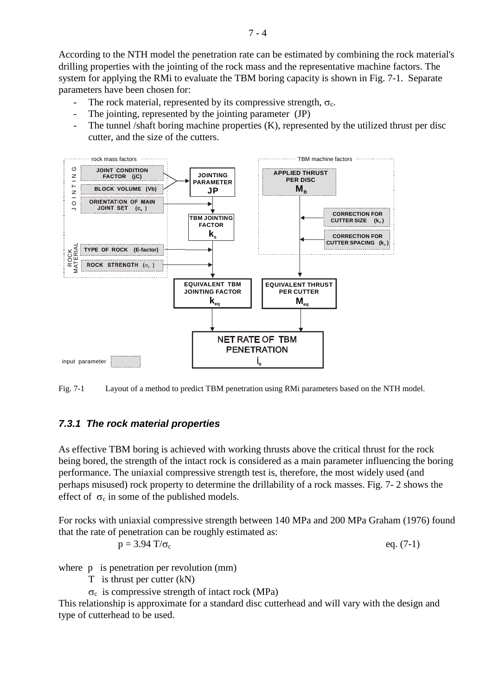According to the NTH model the penetration rate can be estimated by combining the rock material's drilling properties with the jointing of the rock mass and the representative machine factors. The system for applying the RMi to evaluate the TBM boring capacity is shown in Fig. 7-1. Separate parameters have been chosen for:

- The rock material, represented by its compressive strength,  $\sigma_c$ .
- The jointing, represented by the jointing parameter (JP)
- The tunnel /shaft boring machine properties (K), represented by the utilized thrust per disc cutter, and the size of the cutters.



Fig. 7-1 Layout of a method to predict TBM penetration using RMi parameters based on the NTH model.

# *7.3.1 The rock material properties*

As effective TBM boring is achieved with working thrusts above the critical thrust for the rock being bored, the strength of the intact rock is considered as a main parameter influencing the boring performance. The uniaxial compressive strength test is, therefore, the most widely used (and perhaps misused) rock property to determine the drillability of a rock masses. Fig. 7- 2 shows the effect of  $\sigma_c$  in some of the published models.

For rocks with uniaxial compressive strength between 140 MPa and 200 MPa Graham (1976) found that the rate of penetration can be roughly estimated as:

$$
p = 3.94 \text{ T}/\sigma_c
$$
 eq. (7-1)

where p is penetration per revolution (mm)

- T is thrust per cutter (kN)
- $\sigma_c$  is compressive strength of intact rock (MPa)

This relationship is approximate for a standard disc cutterhead and will vary with the design and type of cutterhead to be used.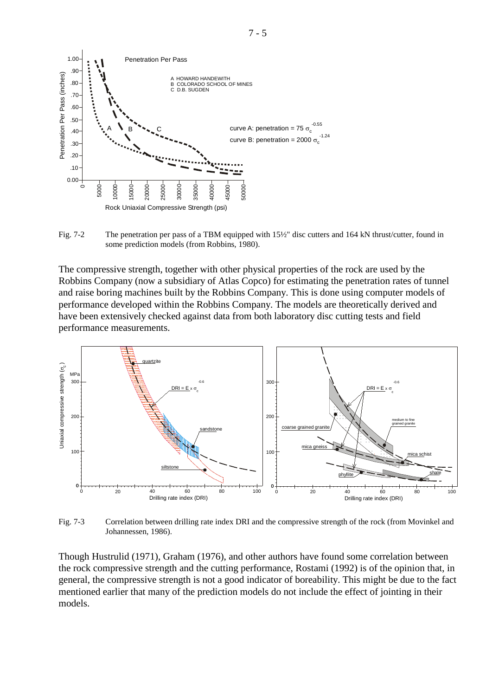

Fig. 7-2 The penetration per pass of a TBM equipped with  $15\frac{1}{2}$ " disc cutters and 164 kN thrust/cutter, found in some prediction models (from Robbins, 1980).

The compressive strength, together with other physical properties of the rock are used by the Robbins Company (now a subsidiary of Atlas Copco) for estimating the penetration rates of tunnel and raise boring machines built by the Robbins Company. This is done using computer models of performance developed within the Robbins Company. The models are theoretically derived and have been extensively checked against data from both laboratory disc cutting tests and field performance measurements.



Fig. 7-3 Correlation between drilling rate index DRI and the compressive strength of the rock (from Movinkel and Johannessen, 1986).

Though Hustrulid (1971), Graham (1976), and other authors have found some correlation between the rock compressive strength and the cutting performance, Rostami (1992) is of the opinion that, in general, the compressive strength is not a good indicator of boreability. This might be due to the fact mentioned earlier that many of the prediction models do not include the effect of jointing in their models.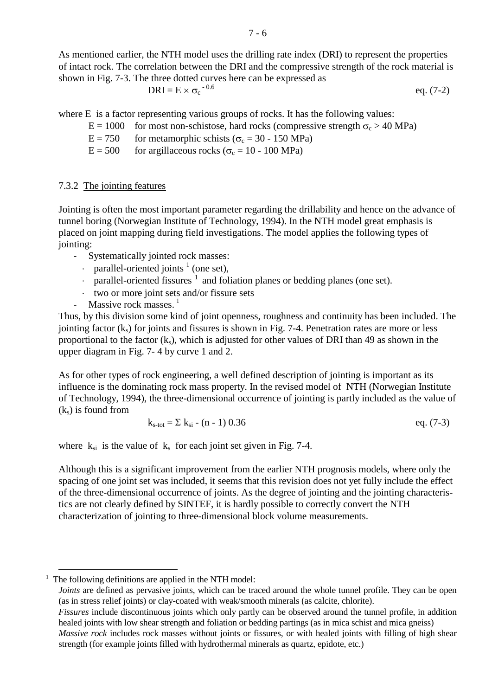As mentioned earlier, the NTH model uses the drilling rate index (DRI) to represent the properties of intact rock. The correlation between the DRI and the compressive strength of the rock material is shown in Fig. 7-3. The three dotted curves here can be expressed as

$$
DRI = E \times \sigma_c^{-0.6}
$$
 eq. (7-2)

where E is a factor representing various groups of rocks. It has the following values:

 $E = 1000$  for most non-schistose, hard rocks (compressive strength  $\sigma_c > 40 \text{ MPa}$ )

 $E = 750$  for metamorphic schists ( $\sigma_c = 30 - 150 \text{ MPa}$ )

 $E = 500$  for argillaceous rocks ( $\sigma_c = 10 - 100 \text{ MPa}$ )

### 7.3.2 The jointing features

Jointing is often the most important parameter regarding the drillability and hence on the advance of tunnel boring (Norwegian Institute of Technology, 1994). In the NTH model great emphasis is placed on joint mapping during field investigations. The model applies the following types of jointing:

- Systematically jointed rock masses:
	- $\cdot$  parallel-oriented joints <sup>1</sup> (one set),
	- $\cdot$  parallel-oriented fissures  $\frac{1}{1}$  $\frac{1}{1}$  $\frac{1}{1}$  and foliation planes or bedding planes (one set).
	- ⋅ two or more joint sets and/or fissure sets
- Massive rock masses.  $<sup>1</sup>$ </sup>

Thus, by this division some kind of joint openness, roughness and continuity has been included. The jointing factor  $(k<sub>s</sub>)$  for joints and fissures is shown in Fig. 7-4. Penetration rates are more or less proportional to the factor  $(k_s)$ , which is adjusted for other values of DRI than 49 as shown in the upper diagram in Fig. 7- 4 by curve 1 and 2.

As for other types of rock engineering, a well defined description of jointing is important as its influence is the dominating rock mass property. In the revised model of NTH (Norwegian Institute of Technology, 1994), the three-dimensional occurrence of jointing is partly included as the value of  $(k<sub>s</sub>)$  is found from

$$
k_{s\text{-tot}} = \sum k_{si} \cdot (n-1) \ 0.36 \qquad \text{eq. (7-3)}
$$

where  $k_{si}$  is the value of  $k_s$  for each joint set given in Fig. 7-4.

Although this is a significant improvement from the earlier NTH prognosis models, where only the spacing of one joint set was included, it seems that this revision does not yet fully include the effect of the three-dimensional occurrence of joints. As the degree of jointing and the jointing characteristics are not clearly defined by SINTEF, it is hardly possible to correctly convert the NTH characterization of jointing to three-dimensional block volume measurements.

*Joints* are defined as pervasive joints, which can be traced around the whole tunnel profile. They can be open (as in stress relief joints) or clay-coated with weak/smooth minerals (as calcite, chlorite).

<span id="page-5-0"></span><sup>&</sup>lt;u>.</u> <sup>1</sup> The following definitions are applied in the NTH model:

*Fissures* include discontinuous joints which only partly can be observed around the tunnel profile, in addition healed joints with low shear strength and foliation or bedding partings (as in mica schist and mica gneiss) *Massive rock* includes rock masses without joints or fissures, or with healed joints with filling of high shear

strength (for example joints filled with hydrothermal minerals as quartz, epidote, etc.)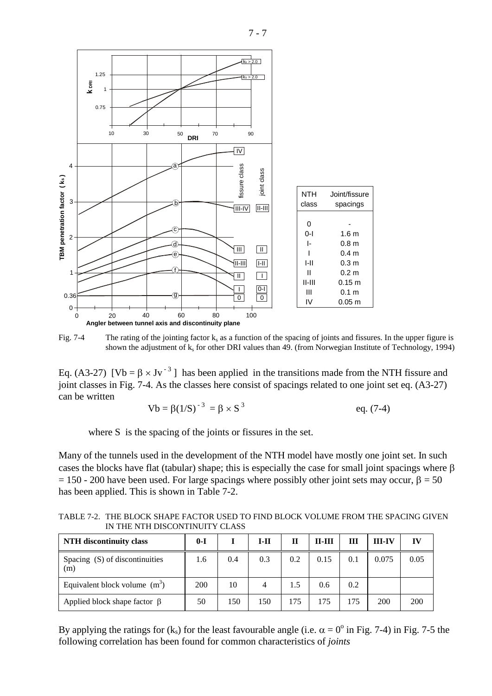

Fig. 7-4 The rating of the jointing factor  $k_s$  as a function of the spacing of joints and fissures. In the upper figure is shown the adjustment of  $k_s$  for other DRI values than 49. (from Norwegian Institute of Technology, 1994)

Eq. (A3-27)  $[Vb = \beta \times Jv^{-3}]$  has been applied in the transitions made from the NTH fissure and joint classes in Fig. 7-4. As the classes here consist of spacings related to one joint set eq. (A3-27) can be written

$$
Vb = \beta (1/S)^{-3} = \beta \times S^{3} \qquad \text{eq. (7-4)}
$$

where S is the spacing of the joints or fissures in the set.

Many of the tunnels used in the development of the NTH model have mostly one joint set. In such cases the blocks have flat (tabular) shape; this is especially the case for small joint spacings where β  $= 150 - 200$  have been used. For large spacings where possibly other joint sets may occur, β = 50 has been applied. This is shown in Table 7-2.

TABLE 7-2. THE BLOCK SHAPE FACTOR USED TO FIND BLOCK VOLUME FROM THE SPACING GIVEN IN THE NTH DISCONTINUITY CLASS

| <b>NTH</b> discontinuity class        | $0-I$ |     | $I-II$ | Н   | <b>II-III</b> | Ш   | <b>III-IV</b> | IV   |
|---------------------------------------|-------|-----|--------|-----|---------------|-----|---------------|------|
| Spacing (S) of discontinuities<br>(m) | 1.6   | 0.4 | 0.3    | 0.2 | 0.15          | 0.1 | 0.075         | 0.05 |
| Equivalent block volume $(m^3)$       | 200   | 10  | 4      | 1.5 | 0.6           | 0.2 |               |      |
| Applied block shape factor $\beta$    | 50    | 150 | 150    | 175 | 175           | 175 | 200           | 200  |

By applying the ratings for (k<sub>s</sub>) for the least favourable angle (i.e.  $\alpha = 0^{\circ}$  in Fig. 7-4) in Fig. 7-5 the following correlation has been found for common characteristics of *joints*

7 - 7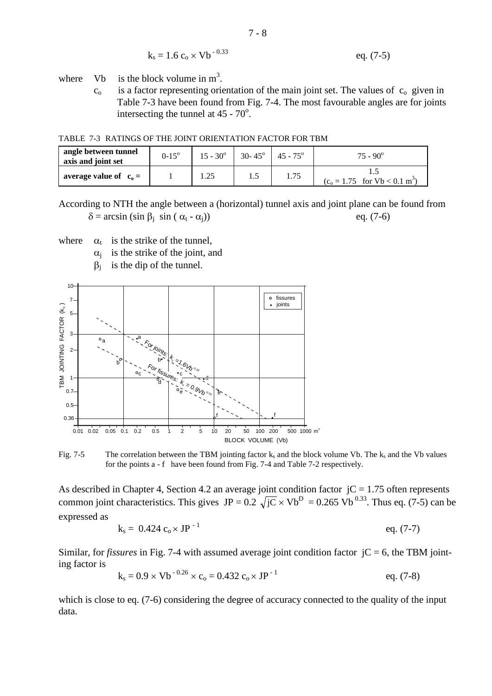$$
k_s = 1.6 c_o \times Vb^{-0.33}
$$
 eq. (7-5)

where Vb is the block volume in  $m<sup>3</sup>$ .

 $c<sub>o</sub>$  is a factor representing orientation of the main joint set. The values of  $c<sub>o</sub>$  given in Table 7-3 have been found from Fig. 7-4. The most favourable angles are for joints intersecting the tunnel at  $45 - 70^{\circ}$ .

TABLE 7-3 RATINGS OF THE JOINT ORIENTATION FACTOR FOR TBM

| angle between tunnel<br>axis and joint set | $0-15^{\circ}$ | $15 - 30^{\circ}$ | $30 - 45^{\circ}$ | $45 - 75^{\circ}$ | $75 - 90^{\circ}$                           |
|--------------------------------------------|----------------|-------------------|-------------------|-------------------|---------------------------------------------|
| average value of $c_0 =$                   |                |                   | 1.5               | 1.75              | $(c_0 = 1.75$ for Vb < 0.1 m <sup>3</sup> ) |

According to NTH the angle between a (horizontal) tunnel axis and joint plane can be found from  $\delta = \arcsin (\sin \beta_i \sin (\alpha_i - \alpha_i))$  eq. (7-6)

where  $\alpha_t$  is the strike of the tunnel,

- $\alpha_i$  is the strike of the joint, and
- $\beta_i$  is the dip of the tunnel.



Fig. 7-5 The correlation between the TBM jointing factor  $k_s$  and the block volume Vb. The  $k_s$  and the Vb values for the points a - f have been found from Fig. 7-4 and Table 7-2 respectively.

As described in Chapter 4, Section 4.2 an average joint condition factor  $jC = 1.75$  often represents common joint characteristics. This gives  $JP = 0.2 \sqrt{jC} \times Vb^D = 0.265 Vb^{0.33}$ . Thus eq. (7-5) can be expressed as

$$
k_s = 0.424 c_0 \times JP^{-1}
$$
eq. (7-7)

Similar, for *fissures* in Fig. 7-4 with assumed average joint condition factor  $\,C = 6$ , the TBM jointing factor is

$$
k_s = 0.9 \times Vb^{-0.26} \times c_o = 0.432 c_o \times JP^{-1}
$$
 eq. (7-8)

which is close to eq. (7-6) considering the degree of accuracy connected to the quality of the input data.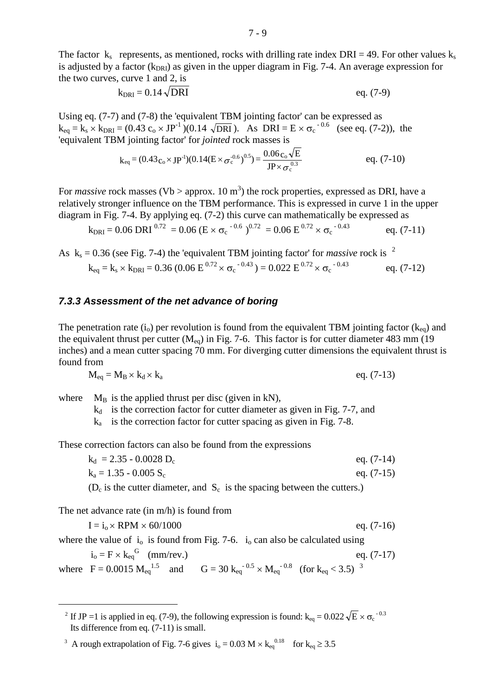The factor  $k_s$  represents, as mentioned, rocks with drilling rate index DRI = 49. For other values  $k_s$ is adjusted by a factor  $(k_{\text{DR1}})$  as given in the upper diagram in Fig. 7-4. An average expression for the two curves, curve 1 and 2, is

$$
k_{DRI} = 0.14 \sqrt{DRI}
$$
eq. (7-9)

Using eq. (7-7) and (7-8) the 'equivalent TBM jointing factor' can be expressed as  $k_{eq} = k_s \times k_{DRI} = (0.43 \text{ c}_o \times JP^{-1})(0.14 \sqrt{DRI})$ . As  $DRI = E \times \sigma_c^{-0.6}$  (see eq. (7-2)), the 'equivalent TBM jointing factor' for *jointed* rock masses is

$$
k_{\text{eq}} = (0.43 \text{c}_{\text{o}} \times \text{JP}^{\text{-1}})(0.14 (E \times \sigma_{\text{c}}^{\text{-0.6}})^{0.5}) = \frac{0.06 \text{c}_{\text{o}} \sqrt{E}}{\text{JP} \times \sigma_{\text{c}}^{\text{-0.3}}}
$$
 eq. (7-10)

For *massive* rock masses (Vb > approx. 10  $m<sup>3</sup>$ ) the rock properties, expressed as DRI, have a relatively stronger influence on the TBM performance. This is expressed in curve 1 in the upper diagram in Fig. 7-4. By applying eq. (7-2) this curve can mathematically be expressed as

$$
k_{\text{DRI}} = 0.06 \text{ DRI}^{0.72} = 0.06 \text{ (E} \times \sigma_c^{-0.6})^{0.72} = 0.06 \text{ E}^{0.72} \times \sigma_c^{-0.43}
$$
 eq. (7-11)

As  $k_s = 0.36$  (see Fig. 7-4) the 'equivalent TBM jointing factor' for *massive* rock is <sup>[2](#page-8-0)</sup>  $k_{eq} = k_s \times k_{DRI} = 0.36$  (0.06  $E^{0.72} \times \sigma_c^{-0.43}$ ) = 0.022  $E^{0.72} \times \sigma_c$  $eq. (7-12)$ 

#### *7.3.3 Assessment of the net advance of boring*

The penetration rate  $(i_0)$  per revolution is found from the equivalent TBM jointing factor  $(k_{eq})$  and the equivalent thrust per cutter  $(M_{eq})$  in Fig. 7-6. This factor is for cutter diameter 483 mm (19) inches) and a mean cutter spacing 70 mm. For diverging cutter dimensions the equivalent thrust is found from

$$
M_{eq} = M_B \times k_d \times k_a \qquad \qquad eq. (7-13)
$$

where  $M_B$  is the applied thrust per disc (given in kN),

 $k_d$  is the correction factor for cutter diameter as given in Fig. 7-7, and

 $k_a$  is the correction factor for cutter spacing as given in Fig. 7-8.

These correction factors can also be found from the expressions

 $k_d = 2.35 - 0.0028$  D<sub>c</sub> eq. (7-14)  $k_a = 1.35 - 0.005 S_c$  eq. (7-15)

 $(D_c)$  is the cutter diameter, and  $S_c$  is the spacing between the cutters.)

The net advance rate (in m/h) is found from

-

$$
I = i_0 \times RPM \times 60/1000
$$
eq. (7-16)  
where the value of  $i_0$  is found from Fig. 7-6.  $i_0$  can also be calculated using  
 $i_0 = F \times k_{eq}^G$  (mm/rev.)  
where  $F = 0.0015 M_{eq}^{1.5}$  and  $G = 30 k_{eq}^{-0.5} \times M_{eq}^{-0.8}$  (for  $k_{eq} < 3.5$ )<sup>3</sup>

<span id="page-8-0"></span><sup>&</sup>lt;sup>2</sup> If JP =1 is applied in eq. (7-9), the following expression is found:  $k_{eq} = 0.022 \sqrt{E} \times \sigma_c^{-0.3}$ Its difference from eq. (7-11) is small.

<span id="page-8-1"></span><sup>&</sup>lt;sup>3</sup> A rough extrapolation of Fig. 7-6 gives  $i_0 = 0.03$  M  $\times$  k<sub>eq</sub><sup>0.18</sup> for k<sub>eq</sub>  $\geq$  3.5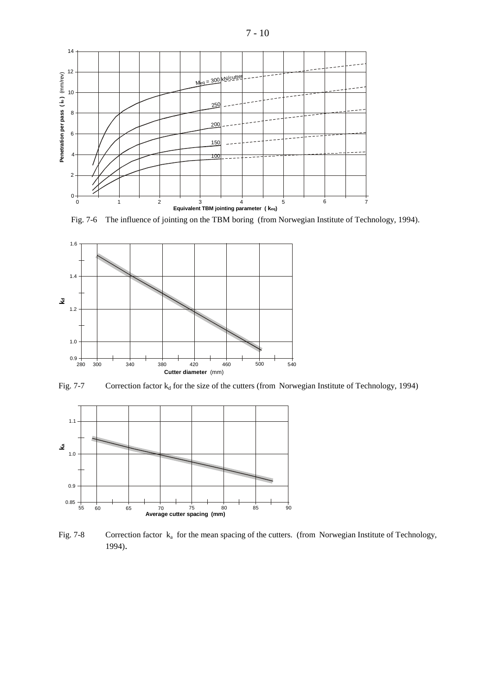



Fig. 7-6 The influence of jointing on the TBM boring (from Norwegian Institute of Technology, 1994).



Fig. 7-7 Correction factor  $k_d$  for the size of the cutters (from Norwegian Institute of Technology, 1994)



Fig. 7-8 Correction factor  $k_a$  for the mean spacing of the cutters. (from Norwegian Institute of Technology, 1994).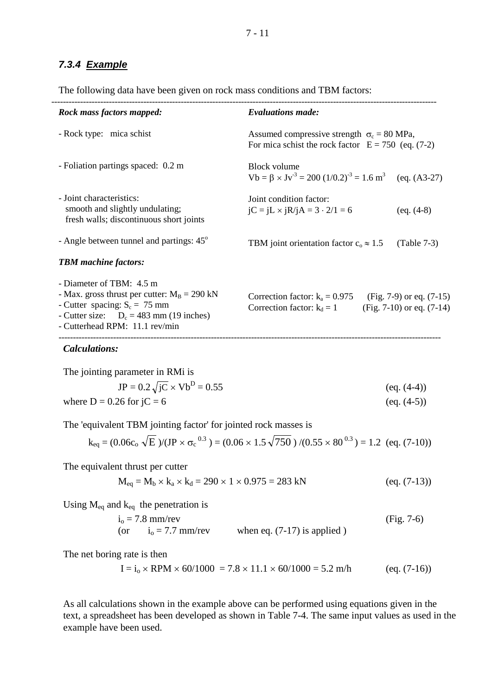## *7.3.4 Example*

The following data have been given on rock mass conditions and TBM factors:

| <b>Evaluations made:</b>                                                                                                        |  |  |  |  |  |
|---------------------------------------------------------------------------------------------------------------------------------|--|--|--|--|--|
| Assumed compressive strength $\sigma_c = 80 \text{ MPa}$ ,<br>For mica schist the rock factor $E = 750$ (eq. (7-2)              |  |  |  |  |  |
| <b>Block volume</b><br>$Vb = \beta \times Jv^{-3} = 200 (1/0.2)^{-3} = 1.6$ m <sup>3</sup><br>$(eq. (A3-27)$                    |  |  |  |  |  |
| Joint condition factor:<br>$jC = jL \times jR/jA = 3 \cdot 2/1 = 6$<br>$(eq. (4-8)$                                             |  |  |  |  |  |
| TBM joint orientation factor $c_0 \approx 1.5$<br>$(Table 7-3)$                                                                 |  |  |  |  |  |
|                                                                                                                                 |  |  |  |  |  |
| Correction factor: $k_a = 0.975$<br>(Fig. 7-9) or eq. $(7-15)$<br>$(Fig. 7-10)$ or eq. $(7-14)$<br>Correction factor: $k_d = 1$ |  |  |  |  |  |
|                                                                                                                                 |  |  |  |  |  |

*Calculations:*

The joining parameter in RMi is  
\n
$$
JP = 0.2\sqrt{jC} \times Vb^{D} = 0.55
$$
\n(eq. (4-4))  
\nwhere D = 0.26 for jC = 6 (eq. (4-5))

The 'equivalent TBM jointing factor' for jointed rock masses is

$$
k_{eq} = (0.06c_o \sqrt{E})/(JP \times \sigma_c^{0.3}) = (0.06 \times 1.5 \sqrt{750})/(0.55 \times 80^{0.3}) = 1.2
$$
 (eq. (7-10))

The equivalent thrust per cutter

$$
M_{eq} = M_b \times k_a \times k_d = 290 \times 1 \times 0.975 = 283 \text{ kN} \tag{eq. (7-13)}
$$

Using  $M_{eq}$  and  $k_{eq}$  the penetration is

$$
i0 = 7.8 mm/rev
$$
 (Fig. 7-6)  
(or 
$$
i0 = 7.7 mm/rev
$$
 when eq. (7-17) is applied)

The net boring rate is then

$$
I = io \times RPM \times 60/1000 = 7.8 \times 11.1 \times 60/1000 = 5.2 \text{ m/h}
$$
 (eq. (7-16))

As all calculations shown in the example above can be performed using equations given in the text, a spreadsheet has been developed as shown in Table 7-4. The same input values as used in the example have been used.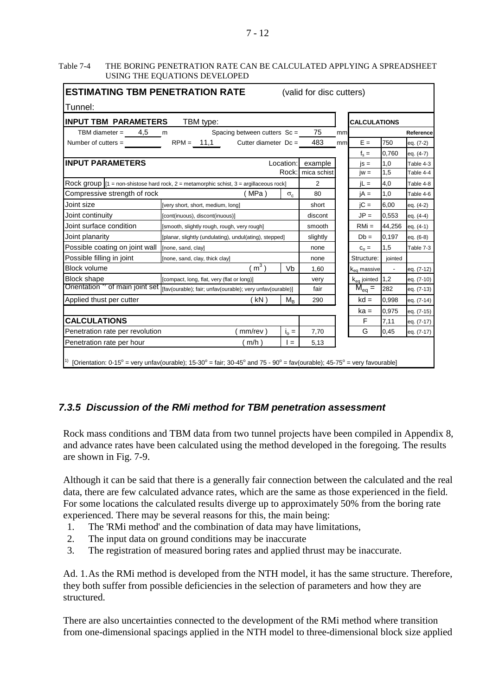#### 7 - 12

#### Table 7-4 THE BORING PENETRATION RATE CAN BE CALCULATED APPLYING A SPREADSHEET USING THE EQUATIONS DEVELOPED

| <b>ESTIMATING TBM PENETRATION RATE</b><br>(valid for disc cutters)                                                      |                                                                                             |             |             |        |                      |                     |            |  |
|-------------------------------------------------------------------------------------------------------------------------|---------------------------------------------------------------------------------------------|-------------|-------------|--------|----------------------|---------------------|------------|--|
| Tunnel:                                                                                                                 |                                                                                             |             |             |        |                      |                     |            |  |
| <b>INPUT TBM PARAMETERS</b><br>TBM type:                                                                                |                                                                                             |             |             |        |                      | <b>CALCULATIONS</b> |            |  |
| TBM diameter = $4,5$                                                                                                    | Spacing between cutters $Sc =$<br>m                                                         | 75          | mm          |        |                      | Reference           |            |  |
| Number of cutters =                                                                                                     | $RPM = 11,1$<br>Cutter diameter $Dc =$                                                      |             | 483         | mm     | $E =$                | 750                 | eq. (7-2)  |  |
|                                                                                                                         |                                                                                             |             |             |        | $f_s =$              | 0,760               | eq. (4-7)  |  |
| <b>INPUT PARAMETERS</b>                                                                                                 | Location:<br>example                                                                        |             | $is =$      | 1,0    | Table 4-3            |                     |            |  |
|                                                                                                                         |                                                                                             | Rock:       | mica schist |        | $iw =$               | 1,5                 | Table 4-4  |  |
| Rock group $ 1 $ = non-shistose hard rock, $2$ = metamorphic schist, $3$ = argillaceous rock]                           | 2                                                                                           |             | $iL =$      | 4,0    | Table 4-8            |                     |            |  |
| Compressive strength of rock                                                                                            | (MPa)                                                                                       | $\sigma_c$  | 80          |        | $iA =$               | 1,0                 | Table 4-6  |  |
| Joint size                                                                                                              | [very short, short, medium, long]                                                           |             | short       |        | $\overline{C}$ =     | 6,00                | eq. (4-2)  |  |
| Joint continuity                                                                                                        | [cont(inuous), discont(inuous)]                                                             |             | discont     |        | $JP =$               | 0,553               | eq. (4-4)  |  |
| Joint surface condition                                                                                                 | [smooth, slightly rough, rough, very rough]                                                 |             | smooth      |        | $RMi =$              | 44,256              | eq. (4-1)  |  |
| Joint planarity                                                                                                         | [planar, slightly (undulating), undul(ating), stepped]                                      | slightly    |             | $Db =$ | 0.197                | eq. (6-8)           |            |  |
| Possible coating on joint wall                                                                                          | [none, sand, clay]                                                                          |             | none        |        | $C_0 =$              | 1,5                 | Table 7-3  |  |
| Possible filling in joint                                                                                               | [none, sand, clay, thick clay]                                                              |             |             |        | Structure:           | jointed             |            |  |
| <b>Block volume</b>                                                                                                     | (m <sup>3</sup> )                                                                           | Vb          | 1,60        |        | $k_{eq}$ massive     |                     | eq. (7-12) |  |
| <b>Block shape</b>                                                                                                      | [compact, long, flat, very (flat or long)]                                                  |             | very        |        | $k_{eq}$ jointed 1,2 |                     | eq. (7-10) |  |
|                                                                                                                         | Orientation " of main joint set   [fav(ourable); fair; unfav(ourable); very unfav(ourable)] |             |             |        | $M_{eq} =$           | 282                 | eq. (7-13) |  |
| Applied thust per cutter                                                                                                | (kN)                                                                                        | $M_{\rm R}$ | 290         |        | $kd =$               | 0,998               | eq. (7-14) |  |
|                                                                                                                         |                                                                                             |             |             |        | $ka =$               | 0,975               | eq. (7-15) |  |
| <b>CALCULATIONS</b>                                                                                                     |                                                                                             |             |             |        | F                    | 7,11                | eq. (7-17) |  |
| Penetration rate per revolution<br>(mm/rev)<br>$i_{\circ} =$                                                            |                                                                                             |             | 7,70        |        | G                    | 0,45                | eq. (7-17) |  |
| Penetration rate per hour                                                                                               | ( m/h )                                                                                     | l =         | 5,13        |        |                      |                     |            |  |
| [Orientation: 0-15° = very unfav(ourable); 15-30° = fair; 30-45° and 75 - 90° = fav(ourable); 45-75° = very favourable] |                                                                                             |             |             |        |                      |                     |            |  |

# *7.3.5 Discussion of the RMi method for TBM penetration assessment*

Rock mass conditions and TBM data from two tunnel projects have been compiled in Appendix 8, and advance rates have been calculated using the method developed in the foregoing. The results are shown in Fig. 7-9.

Although it can be said that there is a generally fair connection between the calculated and the real data, there are few calculated advance rates, which are the same as those experienced in the field. For some locations the calculated results diverge up to approximately 50% from the boring rate experienced. There may be several reasons for this, the main being:

- 1. The 'RMi method' and the combination of data may have limitations,
- 2. The input data on ground conditions may be inaccurate
- 3. The registration of measured boring rates and applied thrust may be inaccurate.

Ad. 1.As the RMi method is developed from the NTH model, it has the same structure. Therefore, they both suffer from possible deficiencies in the selection of parameters and how they are structured.

There are also uncertainties connected to the development of the RMi method where transition from one-dimensional spacings applied in the NTH model to three-dimensional block size applied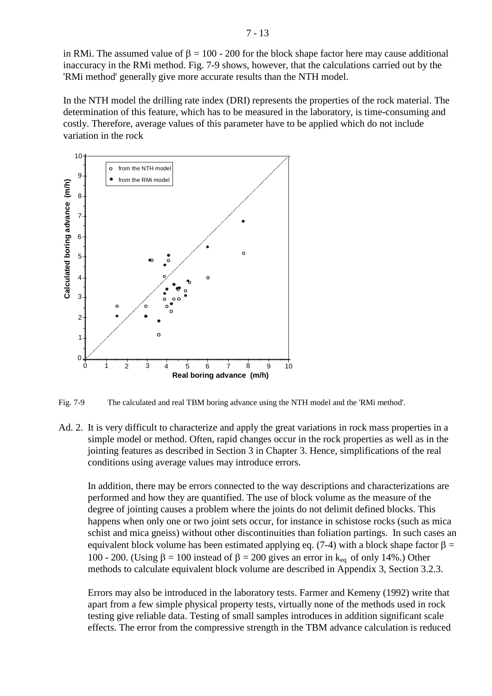in RMi. The assumed value of  $\beta = 100 - 200$  for the block shape factor here may cause additional inaccuracy in the RMi method. Fig. 7-9 shows, however, that the calculations carried out by the 'RMi method' generally give more accurate results than the NTH model.

In the NTH model the drilling rate index (DRI) represents the properties of the rock material. The determination of this feature, which has to be measured in the laboratory, is time-consuming and costly. Therefore, average values of this parameter have to be applied which do not include variation in the rock



Fig. 7-9 The calculated and real TBM boring advance using the NTH model and the 'RMi method'.

Ad. 2. It is very difficult to characterize and apply the great variations in rock mass properties in a simple model or method. Often, rapid changes occur in the rock properties as well as in the jointing features as described in Section 3 in Chapter 3. Hence, simplifications of the real conditions using average values may introduce errors.

In addition, there may be errors connected to the way descriptions and characterizations are performed and how they are quantified. The use of block volume as the measure of the degree of jointing causes a problem where the joints do not delimit defined blocks. This happens when only one or two joint sets occur, for instance in schistose rocks (such as mica schist and mica gneiss) without other discontinuities than foliation partings. In such cases an equivalent block volume has been estimated applying eq. (7-4) with a block shape factor  $\beta$  = 100 - 200. (Using β = 100 instead of β = 200 gives an error in k<sub>eq</sub> of only 14%.) Other methods to calculate equivalent block volume are described in Appendix 3, Section 3.2.3.

Errors may also be introduced in the laboratory tests. Farmer and Kemeny (1992) write that apart from a few simple physical property tests, virtually none of the methods used in rock testing give reliable data. Testing of small samples introduces in addition significant scale effects. The error from the compressive strength in the TBM advance calculation is reduced